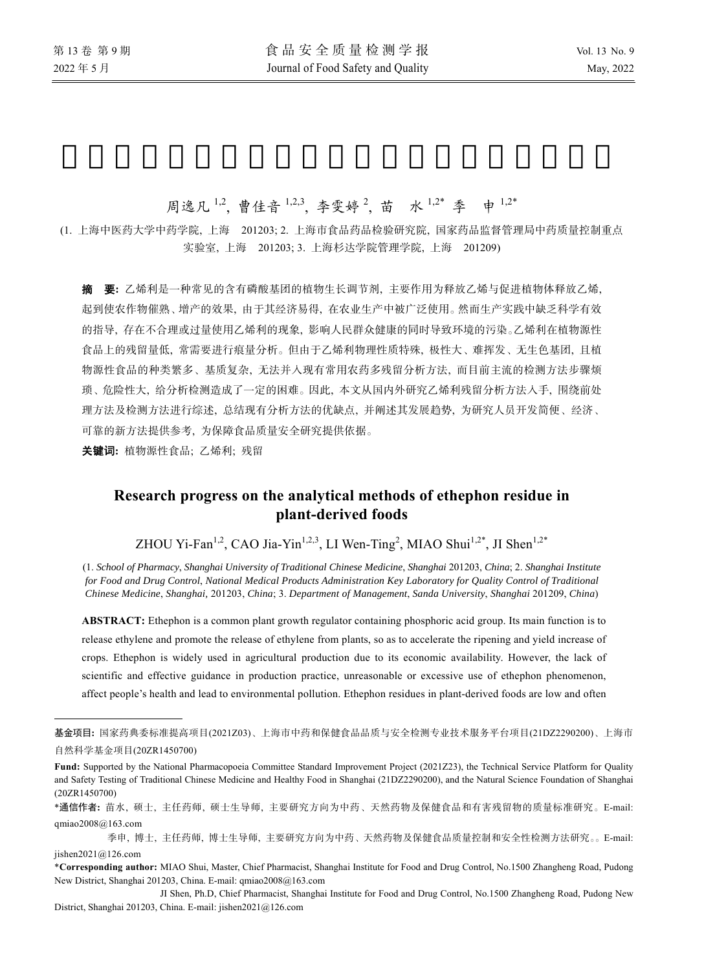$\overline{a}$ 

# 周逸凡<sup>1,2</sup>, 曹佳音<sup>1,2,3</sup>, 李雯婷<sup>2</sup>, 苗 水<sup>1,2\*</sup> 季 申<sup>1,2\*</sup>

(1. 上海中医药大学中药学院, 上海 201203; 2. 上海市食品药品检验研究院, 国家药品监督管理局中药质量控制重点 实验室, 上海 201203; 3. 上海杉达学院管理学院, 上海 201209)

摘要**:** 乙烯利是一种常见的含有磷酸基团的植物生长调节剂, 主要作用为释放乙烯与促进植物体释放乙烯, 起到使农作物催熟、增产的效果, 由于其经济易得, 在农业生产中被广泛使用。然而生产实践中缺乏科学有效 的指导, 存在不合理或过量使用乙烯利的现象, 影响人民群众健康的同时导致环境的污染。乙烯利在植物源性 食品上的残留量低, 常需要进行痕量分析。但由于乙烯利物理性质特殊, 极性大、难挥发、无生色基团, 且植 物源性食品的种类繁多、基质复杂, 无法并入现有常用农药多残留分析方法, 而目前主流的检测方法步骤烦 琐、危险性大, 给分析检测造成了一定的困难。因此, 本文从国内外研究乙烯利残留分析方法入手, 围绕前处 理方法及检测方法进行综述, 总结现有分析方法的优缺点, 并阐述其发展趋势, 为研究人员开发简便、经济、 可靠的新方法提供参考, 为保障食品质量安全研究提供依据。

关键词**:** 植物源性食品; 乙烯利; 残留

## **Research progress on the analytical methods of ethephon residue in plant-derived foods**

ZHOU Yi-Fan<sup>1,2</sup>, CAO Jia-Yin<sup>1,2,3</sup>, LI Wen-Ting<sup>2</sup>, MIAO Shui<sup>1,2\*</sup>, JI Shen<sup>1,2\*</sup>

(1. *School of Pharmacy*, *Shanghai University of Traditional Chinese Medicine*, *Shanghai* 201203, *China*; 2. *Shanghai Institute for Food and Drug Control*, *National Medical Products Administration Key Laboratory for Quality Control of Traditional Chinese Medicine*, *Shanghai,* 201203, *China*; 3. *Department of Management*, *Sanda University*, *Shanghai* 201209, *China*)

**ABSTRACT:** Ethephon is a common plant growth regulator containing phosphoric acid group. Its main function is to release ethylene and promote the release of ethylene from plants, so as to accelerate the ripening and yield increase of crops. Ethephon is widely used in agricultural production due to its economic availability. However, the lack of scientific and effective guidance in production practice, unreasonable or excessive use of ethephon phenomenon, affect people's health and lead to environmental pollution. Ethephon residues in plant-derived foods are low and often

基金项目**:** 国家药典委标准提高项目(2021Z03)、上海市中药和保健食品品质与安全检测专业技术服务平台项目(21DZ2290200)、上海市 自然科学基金项目(20ZR1450700)

**Fund:** Supported by the National Pharmacopoeia Committee Standard Improvement Project (2021Z23), the Technical Service Platform for Quality and Safety Testing of Traditional Chinese Medicine and Healthy Food in Shanghai (21DZ2290200), and the Natural Science Foundation of Shanghai (20ZR1450700)

<sup>\*</sup>通信作者**:** 苗水, 硕士, 主任药师, 硕士生导师, 主要研究方向为中药、天然药物及保健食品和有害残留物的质量标准研究。E-mail: qmiao2008@163.com

季申, 博士, 主任药师, 博士生导师, 主要研究方向为中药、天然药物及保健食品质量控制和安全性检测方法研究。。E-mail: jishen2021@126.com

<sup>\*</sup>**Corresponding author:** MIAO Shui, Master, Chief Pharmacist, Shanghai Institute for Food and Drug Control, No.1500 Zhangheng Road, Pudong New District, Shanghai 201203, China. E-mail: qmiao2008@163.com

JI Shen, Ph.D, Chief Pharmacist, Shanghai Institute for Food and Drug Control, No.1500 Zhangheng Road, Pudong New District, Shanghai 201203, China. E-mail: jishen2021@126.com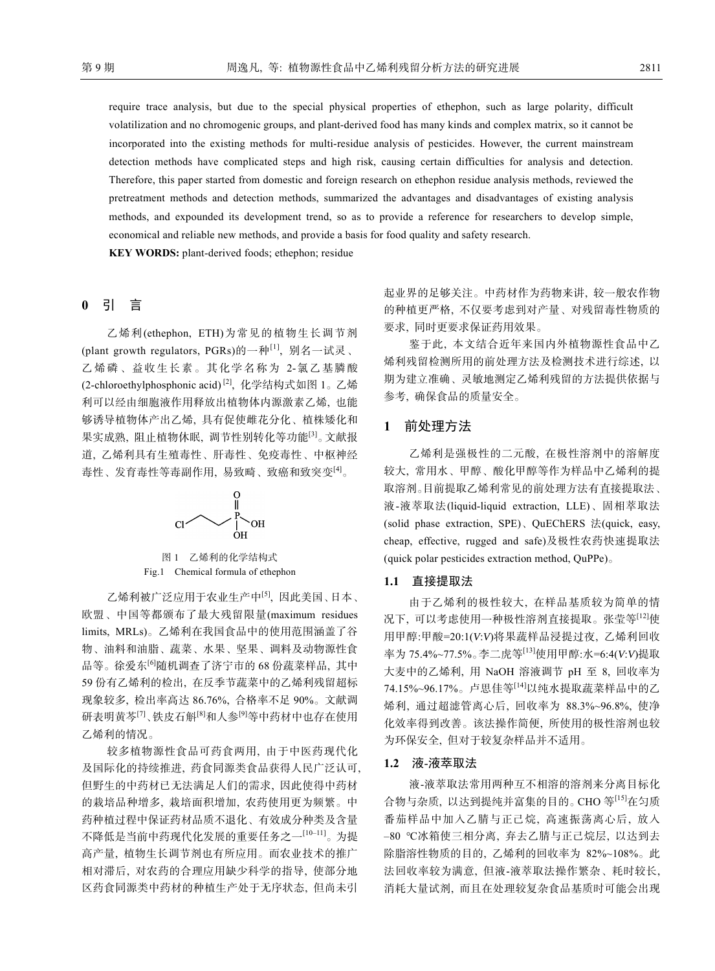require trace analysis, but due to the special physical properties of ethephon, such as large polarity, difficult volatilization and no chromogenic groups, and plant-derived food has many kinds and complex matrix, so it cannot be incorporated into the existing methods for multi-residue analysis of pesticides. However, the current mainstream detection methods have complicated steps and high risk, causing certain difficulties for analysis and detection. Therefore, this paper started from domestic and foreign research on ethephon residue analysis methods, reviewed the pretreatment methods and detection methods, summarized the advantages and disadvantages of existing analysis methods, and expounded its development trend, so as to provide a reference for researchers to develop simple, economical and reliable new methods, and provide a basis for food quality and safety research.

**KEY WORDS:** plant-derived foods; ethephon; residue

## **0** 引 言

乙烯利(ethephon, ETH)为常见的植物生长调节剂 (plant growth regulators, PGRs)的一种[1], 别名一试灵、 乙烯磷、益收生长素。其化学名称为 2-氯乙基膦酸 (2-chloroethylphosphonic acid) [2], 化学结构式如图 1。乙烯 利可以经由细胞液作用释放出植物体内源激素乙烯, 也能 够诱导植物体产出乙烯, 具有促使雌花分化、植株矮化和 果实成熟, 阻止植物休眠, 调节性别转化等功能[3]。文献报 道, 乙烯利具有生殖毒性、肝毒性、免疫毒性、中枢神经 毒性、发育毒性等毒副作用, 易致畸、致癌和致突变[4]。



图 1 乙烯利的化学结构式 Fig.1 Chemical formula of ethephon

乙烯利被广泛应用于农业生产中[5], 因此美国、日本、 欧盟、中国等都颁布了最大残留限量(maximum residues limits, MRLs)。乙烯利在我国食品中的使用范围涵盖了谷 物、油料和油脂、蔬菜、水果、坚果、调料及动物源性食 品等。徐爱东[6]随机调查了济宁市的 68 份蔬菜样品, 其中 59 份有乙烯利的检出, 在反季节蔬菜中的乙烯利残留超标 现象较多, 检出率高达 86.76%, 合格率不足 90%。文献调 研表明黄芩[7]、铁皮石斛[8]和人参[9]等中药材中也存在使用 乙烯利的情况。

较多植物源性食品可药食两用, 由于中医药现代化 及国际化的持续推进, 药食同源类食品获得人民广泛认可, 但野生的中药材已无法满足人们的需求, 因此使得中药材 的栽培品种增多, 栽培面积增加, 农药使用更为频繁。中 药种植过程中保证药材品质不退化、有效成分种类及含量 不降低是当前中药现代化发展的重要任务之一[10‒11]。为提 高产量, 植物生长调节剂也有所应用。而农业技术的推广 相对滞后, 对农药的合理应用缺少科学的指导, 使部分地 区药食同源类中药材的种植生产处于无序状态, 但尚未引

起业界的足够关注。中药材作为药物来讲, 较一般农作物 的种植更严格, 不仅要考虑到对产量、对残留毒性物质的 要求, 同时更要求保证药用效果。

鉴于此, 本文结合近年来国内外植物源性食品中乙 烯利残留检测所用的前处理方法及检测技术进行综述, 以 期为建立准确、灵敏地测定乙烯利残留的方法提供依据与 参考, 确保食品的质量安全。

## **1** 前处理方法

乙烯利是强极性的二元酸, 在极性溶剂中的溶解度 较大, 常用水、甲醇、酸化甲醇等作为样品中乙烯利的提 取溶剂。目前提取乙烯利常见的前处理方法有直接提取法、 液-液萃取法(liquid-liquid extraction, LLE)、固相萃取法 (solid phase extraction, SPE)、QuEChERS 法(quick, easy, cheap, effective, rugged and safe)及极性农药快速提取法 (quick polar pesticides extraction method, QuPPe)。

## **1.1** 直接提取法

由于乙烯利的极性较大, 在样品基质较为简单的情 况下, 可以考虑使用一种极性溶剂直接提取。张莹等[12]使 用甲醇:甲酸=20:1(*V*:*V*)将果蔬样品浸提过夜, 乙烯利回收 率为 75.4%~77.5%。李二虎等[13]使用甲醇:水=6:4(*V*:*V*)提取 大麦中的乙烯利, 用 NaOH 溶液调节 pH 至 8, 回收率为 74.15%~96.17%。卢思佳等[14]以纯水提取蔬菜样品中的乙 烯利, 通过超滤管离心后, 回收率为 88.3%~96.8%, 使净 化效率得到改善。该法操作简便, 所使用的极性溶剂也较 为环保安全, 但对于较复杂样品并不适用。

## **1.2** 液-液萃取法

液-液萃取法常用两种互不相溶的溶剂来分离目标化 合物与杂质, 以达到提纯并富集的目的。CHO 等[15]在匀质 番茄样品中加入乙腈与正己烷, 高速振荡离心后, 放入 ‒80 ℃冰箱使三相分离, 弃去乙腈与正己烷层, 以达到去 除脂溶性物质的目的, 乙烯利的回收率为 82%~108%。此 法回收率较为满意, 但液-液萃取法操作繁杂、耗时较长, 消耗大量试剂, 而且在处理较复杂食品基质时可能会出现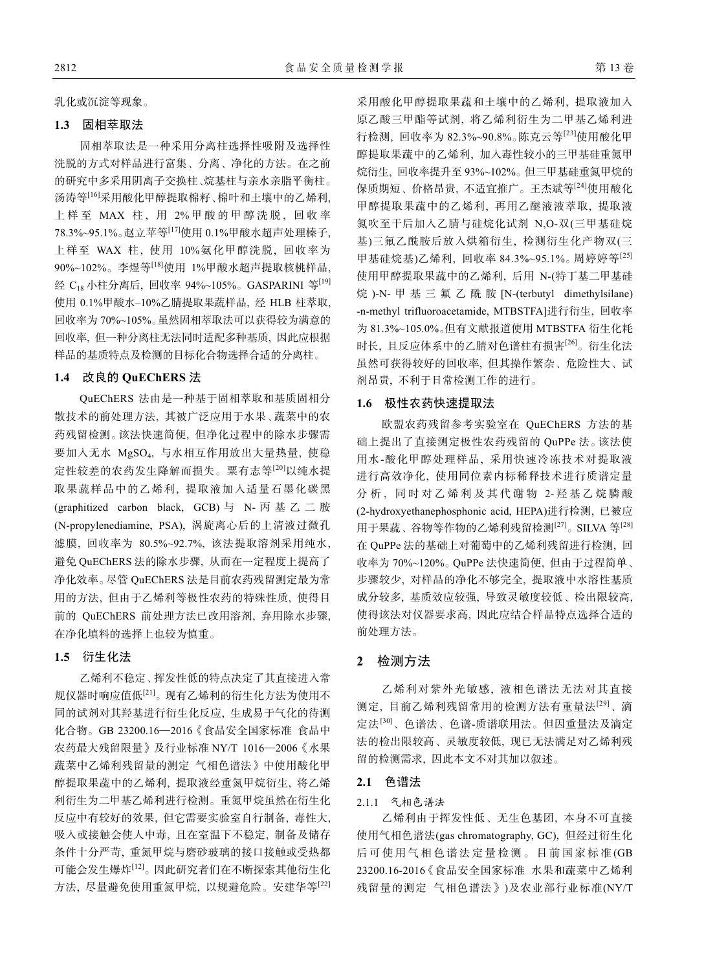乳化或沉淀等现象。

## **1.3** 固相萃取法

固相萃取法是一种采用分离柱选择性吸附及选择性 洗脱的方式对样品进行富集、分离、净化的方法。在之前 的研究中多采用阴离子交换柱、烷基柱与亲水亲脂平衡柱。 汤涛等[16]采用酸化甲醇提取棉籽、棉叶和土壤中的乙烯利, 上样至 MAX 柱, 用 2%甲酸的甲醇洗脱, 回收率 78.3%~95.1%。赵立苹等[17]使用 0.1%甲酸水超声处理榛子, 上样至 WAX 柱, 使用 10%氨化甲醇洗脱, 回收率为 90%~102%。李煜等[18]使用 1%甲酸水超声提取核桃样品, 经 C18 小柱分离后, 回收率 94%~105%。GASPARINI 等[19] 使用 0.1%甲酸水-10%乙腈提取果蔬样品, 经 HLB 柱萃取, 回收率为 70%~105%。虽然固相萃取法可以获得较为满意的 回收率, 但一种分离柱无法同时适配多种基质, 因此应根据 样品的基质特点及检测的目标化合物选择合适的分离柱。

#### **1.4** 改良的 **QuEChERS** 法

QuEChERS 法由是一种基于固相萃取和基质固相分 散技术的前处理方法, 其被广泛应用于水果、蔬菜中的农 药残留检测。该法快速简便, 但净化过程中的除水步骤需 要加入无水 MgSO4, 与水相互作用放出大量热量, 使稳 定性较差的农药发生降解而损失。粟有志等[20]以纯水提 取果蔬样品中的乙烯利, 提取液加入适量石墨化碳黑 (graphitized carbon black, GCB) 与 N- 丙基乙二胺 (N-propylenediamine, PSA), 涡旋离心后的上清液过微孔 滤膜, 回收率为 80.5%~92.7%, 该法提取溶剂采用纯水, 避免 QuEChERS 法的除水步骤, 从而在一定程度上提高了 净化效率。尽管 QuEChERS 法是目前农药残留测定最为常 用的方法, 但由于乙烯利等极性农药的特殊性质, 使得目 前的 QuEChERS 前处理方法已改用溶剂, 弃用除水步骤, 在净化填料的选择上也较为慎重。

## **1.5** 衍生化法

乙烯利不稳定、挥发性低的特点决定了其直接进入常 规仪器时响应值低[21]。现有乙烯利的衍生化方法为使用不 同的试剂对其羟基进行衍生化反应, 生成易于气化的待测 化合物。GB 23200.16—2016《食品安全国家标准 食品中 农药最大残留限量》及行业标准 NY/T 1016—2006《水果 蔬菜中乙烯利残留量的测定 气相色谱法》中使用酸化甲 醇提取果蔬中的乙烯利, 提取液经重氮甲烷衍生, 将乙烯 利衍生为二甲基乙烯利进行检测。重氮甲烷虽然在衍生化 反应中有较好的效果, 但它需要实验室自行制备, 毒性大, 吸入或接触会使人中毒, 且在室温下不稳定, 制备及储存 条件十分严苛, 重氮甲烷与磨砂玻璃的接口接触或受热都 可能会发生爆炸[12]。因此研究者们在不断探索其他衍生化 方法, 尽量避免使用重氮甲烷, 以规避危险。安建华等[22]

采用酸化甲醇提取果蔬和土壤中的乙烯利, 提取液加入 原乙酸三甲酯等试剂, 将乙烯利衍生为二甲基乙烯利进 行检测, 回收率为 82.3%~90.8%。陈克云等[23]使用酸化甲 醇提取果蔬中的乙烯利, 加入毒性较小的三甲基硅重氮甲 烷衍生, 回收率提升至 93%~102%。但三甲基硅重氮甲烷的 保质期短、价格昂贵, 不适宜推广。王杰斌等[24]使用酸化 甲醇提取果蔬中的乙烯利, 再用乙醚液液萃取, 提取液 氮吹至干后加入乙腈与硅烷化试剂 N,O*-*双(三甲基硅烷 基)三氟乙酰胺后放入烘箱衍生, 检测衍生化产物双(三 甲基硅烷基)乙烯利, 回收率 84.3%~95.1%。周婷婷等[25] 使用甲醇提取果蔬中的乙烯利, 后用 N-(特丁基二甲基硅 烷 )-N*-* 甲基三氟乙酰胺 [N-(terbutyl dimethylsilane) -n-methyl trifluoroacetamide, MTBSTFA]进行衍生, 回收率 为 81.3%~105.0%。但有文献报道使用 MTBSTFA 衍生化耗 时长, 且反应体系中的乙腈对色谱柱有损害[26]。衍生化法 虽然可获得较好的回收率, 但其操作繁杂、危险性大、试 剂昂贵, 不利于日常检测工作的进行。

## **1.6** 极性农药快速提取法

欧盟农药残留参考实验室在 QuEChERS 方法的基 础上提出了直接测定极性农药残留的 QuPPe 法。该法使 用水-酸化甲醇处理样品, 采用快速冷冻技术对提取液 进行高效净化, 使用同位素内标稀释技术进行质谱定量 分析,同时对乙烯利及其代谢物 2- 羟基乙烷膦酸 (2-hydroxyethanephosphonic acid, HEPA)进行检测, 已被应 用于果蔬、谷物等作物的乙烯利残留检测[27]。SILVA 等[28] 在 QuPPe 法的基础上对葡萄中的乙烯利残留进行检测, 回 收率为 70%~120%。QuPPe 法快速简便, 但由于过程简单、 步骤较少, 对样品的净化不够完全, 提取液中水溶性基质 成分较多, 基质效应较强, 导致灵敏度较低、检出限较高, 使得该法对仪器要求高, 因此应结合样品特点选择合适的 前处理方法。

## **2** 检测方法

乙烯利对紫外光敏感, 液相色谱法无法对其直接 测定, 目前乙烯利残留常用的检测方法有重量法[29]、滴 定法[30]、色谱法、色谱-质谱联用法。但因重量法及滴定 法的检出限较高、灵敏度较低, 现已无法满足对乙烯利残 留的检测需求, 因此本文不对其加以叙述。

## **2.1** 色谱法

## 2.1.1 气相色谱法

乙烯利由于挥发性低、无生色基团, 本身不可直接 使用气相色谱法(gas chromatography, GC), 但经过衍生化 后可使用气相色谱法定量检测。目前国家标准 (GB 23200.16-2016《食品安全国家标准 水果和蔬菜中乙烯利 残留量的测定 气相色谱法》)及农业部行业标准(NY/T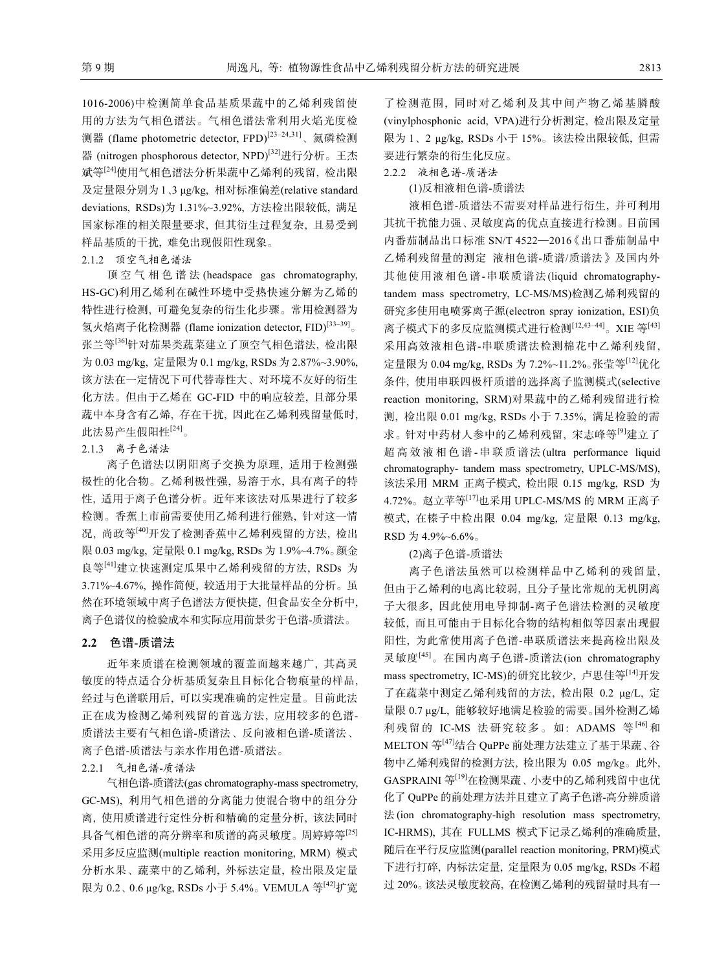1016-2006)中检测简单食品基质果蔬中的乙烯利残留使 用的方法为气相色谱法。气相色谱法常利用火焰光度检 测器 (flame photometric detector, FPD)<sup>[23-24,31]</sup>、氮磷检测 器 (nitrogen phosphorous detector, NPD)[32]进行分析。王杰 斌等[24]使用气相色谱法分析果蔬中乙烯利的残留, 检出限 及定量限分别为 1、3 μg/kg, 相对标准偏差(relative standard deviations, RSDs)为 1.31%~3.92%, 方法检出限较低, 满足 国家标准的相关限量要求, 但其衍生过程复杂, 且易受到 样品基质的干扰, 难免出现假阳性现象。

#### 2.1.2 顶空气相色谱法

顶空气相色谱法 (headspace gas chromatography, HS-GC)利用乙烯利在碱性环境中受热快速分解为乙烯的 特性进行检测, 可避免复杂的衍生化步骤。常用检测器为 氢火焰离子化检测器 (flame ionization detector, FID)<sup>[33–39]</sup>。 张兰等[36]针对茄果类蔬菜建立了顶空气相色谱法, 检出限 为 0.03 mg/kg, 定量限为 0.1 mg/kg, RSDs 为 2.87%~3.90%, 该方法在一定情况下可代替毒性大、对环境不友好的衍生 化方法。但由于乙烯在 GC-FID 中的响应较差, 且部分果 蔬中本身含有乙烯, 存在干扰, 因此在乙烯利残留量低时, 此法易产生假阳性[24]。

#### 2.1.3 离子色谱法

离子色谱法以阴阳离子交换为原理, 适用于检测强 极性的化合物。乙烯利极性强, 易溶于水, 具有离子的特 性, 适用于离子色谱分析。近年来该法对瓜果进行了较多 检测。香蕉上市前需要使用乙烯利进行催熟, 针对这一情 况, 尚政等[40]开发了检测香蕉中乙烯利残留的方法, 检出 限 0.03 mg/kg, 定量限 0.1 mg/kg, RSDs 为 1.9%~4.7%。颜金 良等[41]建立快速测定瓜果中乙烯利残留的方法, RSDs 为 3.71%~4.67%, 操作简便, 较适用于大批量样品的分析。虽 然在环境领域中离子色谱法方便快捷, 但食品安全分析中, 离子色谱仪的检验成本和实际应用前景劣于色谱-质谱法。

## **2.2** 色谱-质谱法

近年来质谱在检测领域的覆盖面越来越广, 其高灵 敏度的特点适合分析基质复杂且目标化合物痕量的样品, 经过与色谱联用后, 可以实现准确的定性定量。目前此法 正在成为检测乙烯利残留的首选方法, 应用较多的色谱-质谱法主要有气相色谱-质谱法、反向液相色谱-质谱法、 离子色谱-质谱法与亲水作用色谱-质谱法。

## 2.2.1 气相色谱-质谱法

气相色谱-质谱法(gas chromatography-mass spectrometry, GC-MS), 利用气相色谱的分离能力使混合物中的组分分 离, 使用质谱进行定性分析和精确的定量分析, 该法同时 具备气相色谱的高分辨率和质谱的高灵敏度。周婷婷等[25] 采用多反应监测(multiple reaction monitoring, MRM) 模式 分析水果、蔬菜中的乙烯利, 外标法定量, 检出限及定量 限为 0.2、0.6 μg/kg, RSDs 小于 5.4%。VEMULA 等[42]扩宽

了检测范围, 同时对乙烯利及其中间产物乙烯基膦酸 (vinylphosphonic acid, VPA)进行分析测定, 检出限及定量 限为 1、2 μg/kg, RSDs 小于 15%。该法检出限较低, 但需 要进行繁杂的衍生化反应。

## 2.2.2 液相色谱-质谱法

(1)反相液相色谱-质谱法

液相色谱-质谱法不需要对样品进行衍生, 并可利用 其抗干扰能力强、灵敏度高的优点直接进行检测。目前国 内番茄制品出口标准 SN/T 4522—2016《出口番茄制品中 乙烯利残留量的测定 液相色谱-质谱/质谱法》及国内外 其他使用液相色谱-串联质谱法(liquid chromatographytandem mass spectrometry, LC-MS/MS)检测乙烯利残留的 研究多使用电喷雾离子源(electron spray ionization, ESI)负 离子模式下的多反应监测模式进行检测<sup>[12,43-44]</sup>。XIE 等<sup>[43]</sup> 采用高效液相色谱-串联质谱法检测棉花中乙烯利残留, 定量限为 0.04 mg/kg, RSDs 为 7.2%~11.2%。张莹等[12]优化 条件, 使用串联四极杆质谱的选择离子监测模式(selective reaction monitoring, SRM)对果蔬中的乙烯利残留进行检 测, 检出限 0.01 mg/kg, RSDs 小于 7.35%, 满足检验的需 求。针对中药材人参中的乙烯利残留, 宋志峰等<sup>[9]</sup>建立了 超高效液相色谱 - 串联质谱法(ultra performance liquid chromatography- tandem mass spectrometry, UPLC-MS/MS), 该法采用 MRM 正离子模式, 检出限 0.15 mg/kg, RSD 为 4.72%。赵立苹等[17]也采用 UPLC-MS/MS 的 MRM 正离子 模式, 在榛子中检出限 0.04 mg/kg, 定量限 0.13 mg/kg, RSD 为 4.9%~6.6%。

## (2)离子色谱-质谱法

离子色谱法虽然可以检测样品中乙烯利的残留量, 但由于乙烯利的电离比较弱, 且分子量比常规的无机阴离 子大很多, 因此使用电导抑制-离子色谱法检测的灵敏度 较低, 而且可能由于目标化合物的结构相似等因素出现假 阳性, 为此常使用离子色谱-串联质谱法来提高检出限及 灵敏度[45]。在国内离子色谱-质谱法(ion chromatography mass spectrometry, IC-MS)的研究比较少, 卢思佳等<sup>[14]</sup>开发 了在蔬菜中测定乙烯利残留的方法, 检出限 0.2 μg/L, 定 量限 0.7 μg/L, 能够较好地满足检验的需要。国外检测乙烯 利残留的 IC-MS 法研究较多。如: ADAMS 等<sup>[46]</sup>和 MELTON 等[47]结合 QuPPe 前处理方法建立了基于果蔬、谷 物中乙烯利残留的检测方法, 检出限为 0.05 mg/kg。此外, GASPRAINI 等[19]在检测果蔬、小麦中的乙烯利残留中也优 化了 QuPPe 的前处理方法并且建立了离子色谱-高分辨质谱 法 (ion chromatography-high resolution mass spectrometry, IC-HRMS), 其在 FULLMS 模式下记录乙烯利的准确质量, 随后在平行反应监测(parallel reaction monitoring, PRM)模式 下进行打碎, 内标法定量, 定量限为 0.05 mg/kg, RSDs 不超 过 20%。该法灵敏度较高, 在检测乙烯利的残留量时具有一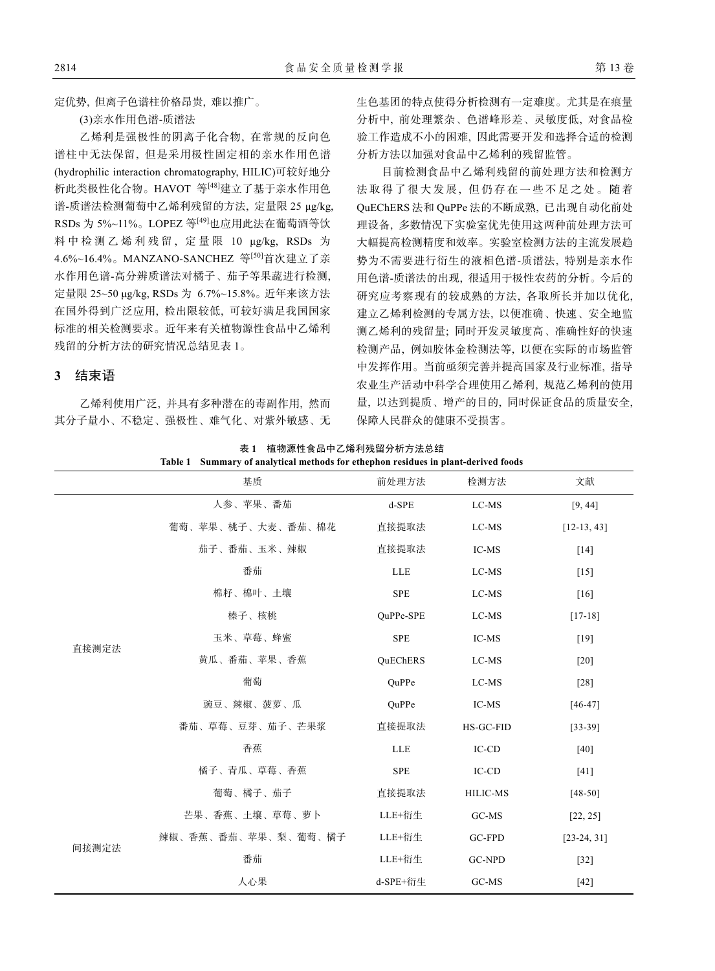定优势, 但离子色谱柱价格昂贵, 难以推广。

(3)亲水作用色谱-质谱法

乙烯利是强极性的阴离子化合物, 在常规的反向色 谱柱中无法保留, 但是采用极性固定相的亲水作用色谱 (hydrophilic interaction chromatography, HILIC)可较好地分 析此类极性化合物。HAVOT 等[48]建立了基于亲水作用色 谱-质谱法检测葡萄中乙烯利残留的方法, 定量限 25 μg/kg, RSDs 为 5%~11%。LOPEZ 等[49]也应用此法在葡萄酒等饮 料中检测乙烯利残留, 定量限 10 μg/kg, RSDs 为 4.6%~16.4%。MANZANO-SANCHEZ 等<sup>[50]</sup>首次建立了亲 水作用色谱-高分辨质谱法对橘子、茄子等果蔬进行检测, 定量限 25~50 μg/kg, RSDs 为 6.7%~15.8%。近年来该方法 在国外得到广泛应用, 检出限较低, 可较好满足我国国家 标准的相关检测要求。近年来有关植物源性食品中乙烯利 残留的分析方法的研究情况总结见表 1。

#### **3** 结束语

乙烯利使用广泛, 并具有多种潜在的毒副作用, 然而 其分子量小、不稳定、强极性、难气化、对紫外敏感、无 生色基团的特点使得分析检测有一定难度。尤其是在痕量 分析中, 前处理繁杂、色谱峰形差、灵敏度低, 对食品检 验工作造成不小的困难, 因此需要开发和选择合适的检测 分析方法以加强对食品中乙烯利的残留监管。

目前检测食品中乙烯利残留的前处理方法和检测方 法取得了很大发展 , 但仍存在一些不足之处。随着 QuEChERS 法和 QuPPe 法的不断成熟, 已出现自动化前处 理设备, 多数情况下实验室优先使用这两种前处理方法可 大幅提高检测精度和效率。实验室检测方法的主流发展趋 势为不需要进行衍生的液相色谱-质谱法, 特别是亲水作 用色谱-质谱法的出现, 很适用于极性农药的分析。今后的 研究应考察现有的较成熟的方法, 各取所长并加以优化, 建立乙烯利检测的专属方法, 以便准确、快速、安全地监 测乙烯利的残留量; 同时开发灵敏度高、准确性好的快速 检测产品, 例如胶体金检测法等, 以便在实际的市场监管 中发挥作用。当前亟须完善并提高国家及行业标准, 指导 农业生产活动中科学合理使用乙烯利, 规范乙烯利的使用 量, 以达到提质、增产的目的, 同时保证食品的质量安全, 保障人民群众的健康不受损害。

表 **1** 植物源性食品中乙烯利残留分析方法总结 **Table 1 Summary of analytical methods for ethephon residues in plant-derived foods** 

|       | 基质                  | 前处理方法      | 检测方法            | 文献                 |
|-------|---------------------|------------|-----------------|--------------------|
|       | 人参、苹果、番茄            | $d$ -SPE   | LC-MS           | [9, 44]            |
| 直接测定法 | 葡萄、苹果、桃子、大麦、番茄、棉花   | 直接提取法      | LC-MS           | $[12-13, 43]$      |
|       | 茄子、番茄、玉米、辣椒         | 直接提取法      | IC-MS           | $\lceil 14 \rceil$ |
|       | 番茄                  | LLE        | LC-MS           | $[15]$             |
|       | 棉籽、棉叶、土壤            | <b>SPE</b> | LC-MS           | $\lceil 16 \rceil$ |
|       | 榛子、核桃               | OuPPe-SPE  | LC-MS           | $[17-18]$          |
|       | 玉米、草莓、蜂蜜            | <b>SPE</b> | IC-MS           | $[19]$             |
|       | 黄瓜、番茄、苹果、香蕉         | QuEChERS   | LC-MS           | $[20]$             |
|       | 葡萄                  | OuPPe      | LC-MS           | $[28]$             |
|       | 豌豆、辣椒、菠萝、瓜          | QuPPe      | IC-MS           | $[46-47]$          |
|       | 番茄、草莓、豆芽、茄子、芒果浆     | 直接提取法      | HS-GC-FID       | $[33-39]$          |
|       | 香蕉                  | LLE        | IC-CD           | $[40]$             |
|       | 橘子、青瓜、草莓、香蕉         | <b>SPE</b> | IC-CD           | $[41]$             |
|       | 葡萄、橘子、茄子            | 直接提取法      | <b>HILIC-MS</b> | $[48-50]$          |
| 间接测定法 | 芒果、香蕉、土壤、草莓、萝卜      | LLE+衍生     | GC-MS           | [22, 25]           |
|       | 辣椒、香蕉、番茄、苹果、梨、葡萄、橘子 | LLE+衍生     | GC-FPD          | $[23-24, 31]$      |
|       | 番茄                  | LLE+衍生     | GC-NPD          | $[32]$             |
|       | 人心果                 | d-SPE+衍生   | GC-MS           | $[42]$             |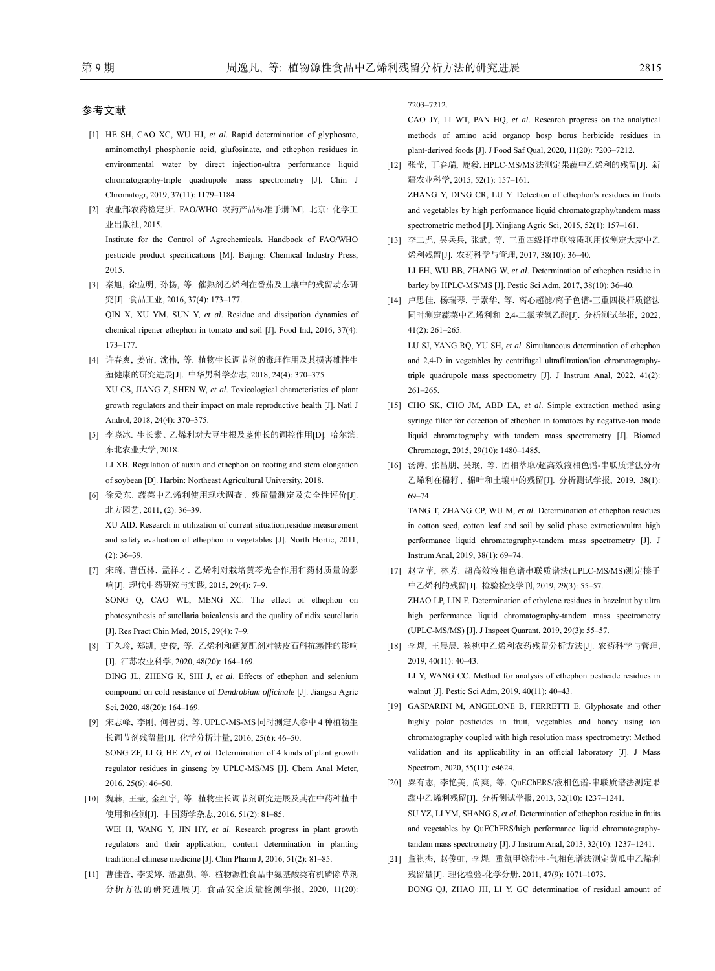#### 参考文献

2015.

- [1] HE SH, CAO XC, WU HJ, *et al*. Rapid determination of glyphosate, aminomethyl phosphonic acid, glufosinate, and ethephon residues in environmental water by direct injection-ultra performance liquid chromatography-triple quadrupole mass spectrometry [J]. Chin J Chromatogr, 2019, 37(11): 1179-1184.
- [2] 农业部农药检定所. FAO/WHO 农药产品标准手册[M]. 北京: 化学工 业出版社, 2015. Institute for the Control of Agrochemicals. Handbook of FAO/WHO pesticide product specifications [M]. Beijing: Chemical Industry Press,
- [3] 秦旭, 徐应明, 孙扬, 等. 催熟剂乙烯利在番茄及土壤中的残留动态研 究[J]. 食品工业, 2016, 37(4): 173‒177. QIN X, XU YM, SUN Y, *et al*. Residue and dissipation dynamics of chemical ripener ethephon in tomato and soil [J]. Food Ind, 2016, 37(4): 173‒177.
- [4] 许春爽, 姜宙, 沈伟, 等. 植物生长调节剂的毒理作用及其损害雄性生 殖健康的研究进展[J]. 中华男科学杂志, 2018, 24(4): 370‒375. XU CS, JIANG Z, SHEN W, *et al*. Toxicological characteristics of plant growth regulators and their impact on male reproductive health [J]. Natl J Androl, 2018, 24(4): 370-375.
- [5] 李晓冰. 生长素、乙烯利对大豆生根及茎伸长的调控作用[D]. 哈尔滨: 东北农业大学, 2018.

LI XB. Regulation of auxin and ethephon on rooting and stem elongation of soybean [D]. Harbin: Northeast Agricultural University, 2018.

[6] 徐爱东. 蔬菜中乙烯利使用现状调查、残留量测定及安全性评价[J]. 北方园艺, 2011, (2): 36‒39.

XU AID. Research in utilization of current situation,residue measurement and safety evaluation of ethephon in vegetables [J]. North Hortic, 2011,  $(2): 36 - 39.$ 

- [7] 宋琦, 曹伍林, 孟祥才. 乙烯利对栽培黄芩光合作用和药材质量的影 响[J]. 现代中药研究与实践, 2015, 29(4): 7‒9. SONG Q, CAO WL, MENG XC. The effect of ethephon on photosynthesis of sutellaria baicalensis and the quality of ridix scutellaria [J]. Res Pract Chin Med, 2015, 29(4): 7-9.
- [8] 丁久玲, 郑凯, 史俊, 等. 乙烯利和硒复配剂对铁皮石斛抗寒性的影响 [J]. 江苏农业科学, 2020, 48(20): 164‒169. DING JL, ZHENG K, SHI J, *et al*. Effects of ethephon and selenium compound on cold resistance of *Dendrobium officinale* [J]. Jiangsu Agric Sci, 2020, 48(20): 164-169.
- [9] 宋志峰, 李刚, 何智勇, 等. UPLC-MS-MS 同时测定人参中 4 种植物生 长调节剂残留量[J]. 化学分析计量, 2016, 25(6): 46‒50. SONG ZF, LI G, HE ZY, *et al*. Determination of 4 kinds of plant growth regulator residues in ginseng by UPLC-MS/MS [J]. Chem Anal Meter, 2016, 25(6): 46‒50.
- [10] 魏赫, 王莹, 金红宇, 等. 植物生长调节剂研究进展及其在中药种植中 使用和检测[J]. 中国药学杂志, 2016, 51(2): 81‒85. WEI H, WANG Y, JIN HY, *et al*. Research progress in plant growth regulators and their application, content determination in planting traditional chinese medicine [J]. Chin Pharm J, 2016, 51(2): 81-85.
- [11] 曹佳音, 李雯婷, 潘惠勤, 等. 植物源性食品中氨基酸类有机磷除草剂 分析方法的研究进展[J]. 食品安全质量检测学报, 2020, 11(20):

7203‒7212.

CAO JY, LI WT, PAN HQ, *et al*. Research progress on the analytical methods of amino acid organop hosp horus herbicide residues in plant-derived foods [J]. J Food Saf Qual, 2020, 11(20): 7203‒7212.

- [12] 张莹, 丁春瑞, 鹿毅. HPLC-MS/MS法测定果蔬中乙烯利的残留[J]. 新 疆农业科学, 2015, 52(1): 157‒161. ZHANG Y, DING CR, LU Y. Detection of ethephon's residues in fruits and vegetables by high performance liquid chromatography/tandem mass spectrometric method [J]. Xinjiang Agric Sci, 2015, 52(1): 157-161.
- [13] 李二虎, 吴兵兵, 张武, 等. 三重四级杆串联液质联用仪测定大麦中乙 烯利残留[J]. 农药科学与管理, 2017, 38(10): 36‒40. LI EH, WU BB, ZHANG W, *et al*. Determination of ethephon residue in barley by HPLC-MS/MS [J]. Pestic Sci Adm, 2017, 38(10): 36-40.
- [14] 卢思佳, 杨瑞琴, 于素华, 等. 离心超滤/离子色谱-三重四极杆质谱法 同时测定蔬菜中乙烯利和 2,4-二氯苯氧乙酸[J]. 分析测试学报, 2022,  $41(2): 261 - 265.$

LU SJ, YANG RQ, YU SH, *et al*. Simultaneous determination of ethephon and 2,4-D in vegetables by centrifugal ultrafiltration/ion chromatographytriple quadrupole mass spectrometry [J]. J Instrum Anal, 2022, 41(2):  $261 - 265$ .

- [15] CHO SK, CHO JM, ABD EA, *et al.* Simple extraction method using syringe filter for detection of ethephon in tomatoes by negative-ion mode liquid chromatography with tandem mass spectrometry [J]. Biomed Chromatogr, 2015, 29(10): 1480‒1485.
- [16] 汤涛, 张昌朋, 吴珉, 等. 固相萃取/超高效液相色谱-串联质谱法分析 乙烯利在棉籽、棉叶和土壤中的残留[J]. 分析测试学报, 2019, 38(1): 69‒74.

TANG T, ZHANG CP, WU M, *et al*. Determination of ethephon residues in cotton seed, cotton leaf and soil by solid phase extraction/ultra high performance liquid chromatography-tandem mass spectrometry [J]. J Instrum Anal, 2019, 38(1): 69‒74.

[17] 赵立苹, 林芳. 超高效液相色谱串联质谱法(UPLC-MS/MS)测定榛子 中乙烯利的残留[J]. 检验检疫学刊, 2019, 29(3): 55-57. ZHAO LP, LIN F. Determination of ethylene residues in hazelnut by ultra high performance liquid chromatography-tandem mass spectrometry (UPLC-MS/MS) [J]. J Inspect Quarant, 2019, 29(3): 55‒57.

[18] 李煜, 王晨晨. 核桃中乙烯利农药残留分析方法[J]. 农药科学与管理, 2019, 40(11): 40‒43.

LI Y, WANG CC. Method for analysis of ethephon pesticide residues in walnut [J]. Pestic Sci Adm, 2019, 40(11): 40‒43.

- [19] GASPARINI M, ANGELONE B, FERRETTI E. Glyphosate and other highly polar pesticides in fruit, vegetables and honey using ion chromatography coupled with high resolution mass spectrometry: Method validation and its applicability in an official laboratory [J]. J Mass Spectrom, 2020, 55(11): e4624.
- [20] 粟有志, 李艳美, 尚爽, 等. QuEChERS/液相色谱-串联质谱法测定果 蔬中乙烯利残留[J]. 分析测试学报, 2013, 32(10): 1237-1241. SU YZ, LI YM, SHANG S, *et al*. Determination of ethephon residue in fruits and vegetables by QuEChERS/high performance liquid chromatographytandem mass spectrometry [J]. J Instrum Anal, 2013, 32(10): 1237-1241.
- [21] 董祺杰, 赵俊虹, 李煜. 重氮甲烷衍生-气相色谱法测定黄瓜中乙烯利 残留量[J]. 理化检验-化学分册, 2011, 47(9): 1071-1073. DONG QJ, ZHAO JH, LI Y. GC determination of residual amount of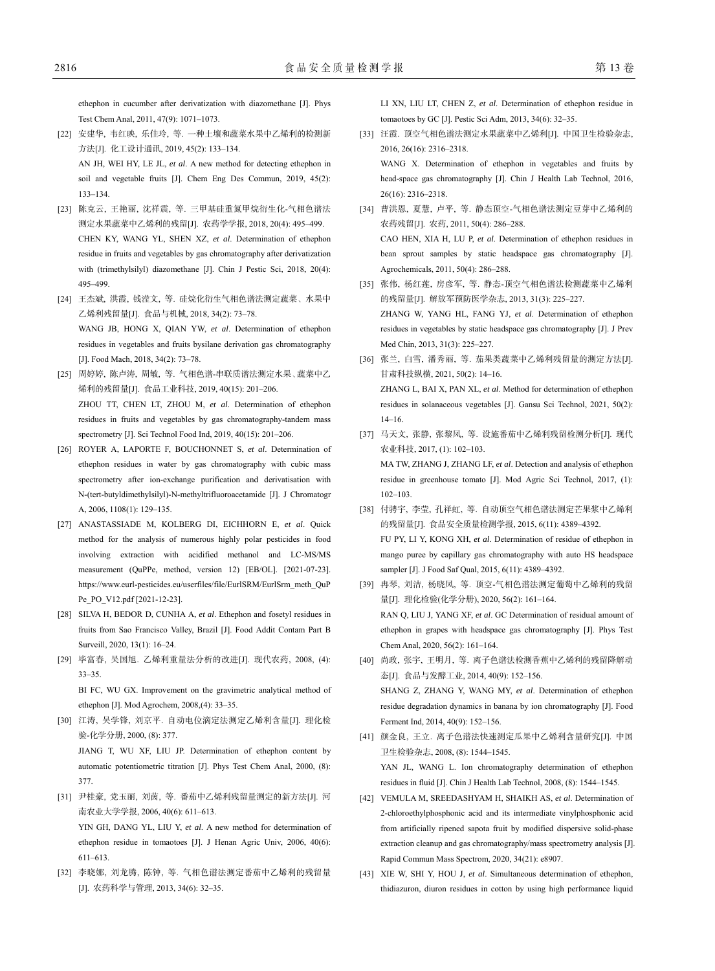- [22] 安建华, 韦红映, 乐佳玲, 等. 一种土壤和蔬菜水果中乙烯利的检测新 方法[J]. 化工设计通讯, 2019, 45(2): 133‒134. AN JH, WEI HY, LE JL, *et al*. A new method for detecting ethephon in soil and vegetable fruits [J]. Chem Eng Des Commun, 2019, 45(2): 133‒134.
- [23] 陈克云, 王艳丽, 沈祥震, 等. 三甲基硅重氮甲烷衍生化-气相色谱法 测定水果蔬菜中乙烯利的残留[J]. 农药学学报, 2018, 20(4): 495‒499. CHEN KY, WANG YL, SHEN XZ, *et al*. Determination of ethephon residue in fruits and vegetables by gas chromatography after derivatization with (trimethylsilyl) diazomethane [J]. Chin J Pestic Sci, 2018, 20(4): 495‒499.
- [24] 王杰斌, 洪霞, 钱滢文, 等. 硅烷化衍生气相色谱法测定蔬菜、水果中 乙烯利残留量[J]. 食品与机械, 2018, 34(2): 73‒78. WANG JB, HONG X, QIAN YW, *et al*. Determination of ethephon residues in vegetables and fruits bysilane derivation gas chromatography [J]. Food Mach, 2018, 34(2): 73-78.
- [25] 周婷婷, 陈卢涛, 周敏, 等. 气相色谱-串联质谱法测定水果、蔬菜中乙 烯利的残留量[J]. 食品工业科技, 2019, 40(15): 201‒206. ZHOU TT, CHEN LT, ZHOU M, *et al*. Determination of ethephon residues in fruits and vegetables by gas chromatography-tandem mass spectrometry [J]. Sci Technol Food Ind, 2019, 40(15): 201-206.
- [26] ROYER A, LAPORTE F, BOUCHONNET S, *et al*. Determination of ethephon residues in water by gas chromatography with cubic mass spectrometry after ion-exchange purification and derivatisation with N-(tert-butyldimethylsilyl)-N-methyltrifluoroacetamide [J]. J Chromatogr A, 2006, 1108(1): 129‒135.
- [27] ANASTASSIADE M, KOLBERG DI, EICHHORN E, *et al*. Quick method for the analysis of numerous highly polar pesticides in food involving extraction with acidified methanol and LC-MS/MS measurement (QuPPe, method, version 12) [EB/OL]. [2021-07-23]. https://www.eurl-pesticides.eu/userfiles/file/EurlSRM/EurlSrm\_meth\_QuP Pe\_PO\_V12.pdf [2021-12-23].
- [28] SILVA H, BEDOR D, CUNHA A, *et al*. Ethephon and fosetyl residues in fruits from Sao Francisco Valley, Brazil [J]. Food Addit Contam Part B Surveill, 2020, 13(1): 16‒24.
- [29] 毕富春, 吴国旭. 乙烯利重量法分析的改进[J]. 现代农药, 2008, (4): 33‒35.

BI FC, WU GX. Improvement on the gravimetric analytical method of ethephon [J]. Mod Agrochem, 2008,(4): 33‒35.

- [30] 江涛, 吴学锋, 刘京平. 自动电位滴定法测定乙烯利含量[J]. 理化检 验-化学分册, 2000, (8): 377. JIANG T, WU XF, LIU JP. Determination of ethephon content by automatic potentiometric titration [J]. Phys Test Chem Anal, 2000, (8): 377.
- [31] 尹桂豪, 党玉丽, 刘茵, 等. 番茄中乙烯利残留量测定的新方法[J]. 河 南农业大学学报, 2006, 40(6): 611‒613.

YIN GH, DANG YL, LIU Y, *et al*. A new method for determination of ethephon residue in tomaotoes [J]. J Henan Agric Univ, 2006, 40(6): 611‒613.

[32] 李晓娜, 刘龙腾, 陈钟, 等. 气相色谱法测定番茄中乙烯利的残留量 [J]. 农药科学与管理, 2013, 34(6): 32‒35.

LI XN, LIU LT, CHEN Z, *et al*. Determination of ethephon residue in tomaotoes by GC [J]. Pestic Sci Adm, 2013, 34(6): 32‒35.

[33] 汪霞. 顶空气相色谱法测定水果蔬菜中乙烯利[J]. 中国卫生检验杂志, 2016, 26(16): 2316‒2318.

WANG X. Determination of ethephon in vegetables and fruits by head-space gas chromatography [J]. Chin J Health Lab Technol, 2016, 26(16): 2316‒2318.

- [34] 曹洪恩, 夏慧, 卢平, 等. 静态顶空-气相色谱法测定豆芽中乙烯利的 农药残留[J]. 农药, 2011, 50(4): 286‒288. CAO HEN, XIA H, LU P, *et al*. Determination of ethephon residues in bean sprout samples by static headspace gas chromatography [J]. Agrochemicals, 2011, 50(4): 286-288.
- [35] 张伟, 杨红莲, 房彦军, 等. 静态-顶空气相色谱法检测蔬菜中乙烯利 的残留量[J]. 解放军预防医学杂志, 2013, 31(3): 225‒227. ZHANG W, YANG HL, FANG YJ, *et al*. Determination of ethephon residues in vegetables by static headspace gas chromatography [J]. J Prev Med Chin, 2013, 31(3): 225-227.
- [36] 张兰, 白雪, 潘秀丽, 等. 茄果类蔬菜中乙烯利残留量的测定方法[J]. 甘肃科技纵横, 2021, 50(2): 14‒16. ZHANG L, BAI X, PAN XL, *et al*. Method for determination of ethephon residues in solanaceous vegetables [J]. Gansu Sci Technol, 2021, 50(2): 14‒16.
- [37] 马天文, 张静, 张黎凤, 等. 设施番茄中乙烯利残留检测分析[J]. 现代 农业科技, 2017, (1): 102‒103. MA TW, ZHANG J, ZHANG LF, *et al*. Detection and analysis of ethephon residue in greenhouse tomato [J]. Mod Agric Sci Technol, 2017, (1):  $102 - 103$ .
- [38] 付骋宇, 李莹, 孔祥虹, 等. 自动顶空气相色谱法测定芒果浆中乙烯利 的残留量[J]. 食品安全质量检测学报, 2015, 6(11): 4389-4392. FU PY, LI Y, KONG XH, *et al*. Determination of residue of ethephon in mango puree by capillary gas chromatography with auto HS headspace sampler [J]. J Food Saf Qual, 2015, 6(11): 4389-4392.
- [39] 冉琴, 刘洁, 杨晓凤, 等. 顶空-气相色谱法测定葡萄中乙烯利的残留 量[J]. 理化检验(化学分册), 2020, 56(2): 161-164. RAN Q, LIU J, YANG XF, *et al*. GC Determination of residual amount of ethephon in grapes with headspace gas chromatography [J]. Phys Test Chem Anal, 2020, 56(2): 161‒164.
- [40] 尚政, 张宇, 王明月, 等. 离子色谱法检测香蕉中乙烯利的残留降解动 态[J]. 食品与发酵工业, 2014, 40(9): 152‒156. SHANG Z, ZHANG Y, WANG MY, *et al*. Determination of ethephon residue degradation dynamics in banana by ion chromatography [J]. Food Ferment Ind, 2014, 40(9): 152-156.
- [41] 颜金良, 王立. 离子色谱法快速测定瓜果中乙烯利含量研究[J]. 中国 卫生检验杂志, 2008, (8): 1544‒1545. YAN JL, WANG L. Ion chromatography determination of ethephon residues in fluid [J]. Chin J Health Lab Technol, 2008, (8): 1544-1545.
- [42] VEMULA M, SREEDASHYAM H, SHAIKH AS, *et al*. Determination of 2-chloroethylphosphonic acid and its intermediate vinylphosphonic acid from artificially ripened sapota fruit by modified dispersive solid-phase extraction cleanup and gas chromatography/mass spectrometry analysis [J]. Rapid Commun Mass Spectrom, 2020, 34(21): e8907.
- [43] XIE W, SHI Y, HOU J, *et al*. Simultaneous determination of ethephon, thidiazuron, diuron residues in cotton by using high performance liquid